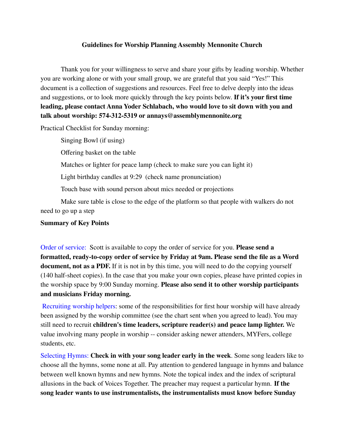### **Guidelines for Worship Planning Assembly Mennonite Church**

Thank you for your willingness to serve and share your gifts by leading worship. Whether you are working alone or with your small group, we are grateful that you said "Yes!" This document is a collection of suggestions and resources. Feel free to delve deeply into the ideas and suggestions, or to look more quickly through the key points below. **If it's your first time leading, please contact Anna Yoder Schlabach, who would love to sit down with you and talk about worship: 574-312-5319 or annays@assemblymennonite.org**

Practical Checklist for Sunday morning:

Singing Bowl (if using)

Offering basket on the table

Matches or lighter for peace lamp (check to make sure you can light it)

Light birthday candles at 9:29 (check name pronunciation)

Touch base with sound person about mics needed or projections

Make sure table is close to the edge of the platform so that people with walkers do not need to go up a step

### **Summary of Key Points**

Order of service: Scott is available to copy the order of service for you. **Please send a formatted, ready-to-copy order of service by Friday at 9am. Please send the file as a Word document, not as a PDF.** If it is not in by this time, you will need to do the copying yourself (140 half-sheet copies). In the case that you make your own copies, please have printed copies in the worship space by 9:00 Sunday morning. **Please also send it to other worship participants and musicians Friday morning.**

Recruiting worship helpers: some of the responsibilities for first hour worship will have already been assigned by the worship committee (see the chart sent when you agreed to lead). You may still need to recruit **children's time leaders, scripture reader(s) and peace lamp lighter.** We value involving many people in worship -- consider asking newer attenders, MYFers, college students, etc.

Selecting Hymns: **Check in with your song leader early in the week**. Some song leaders like to choose all the hymns, some none at all. Pay attention to gendered language in hymns and balance between well known hymns and new hymns. Note the topical index and the index of scriptural allusions in the back of Voices Together. The preacher may request a particular hymn. **If the song leader wants to use instrumentalists, the instrumentalists must know before Sunday**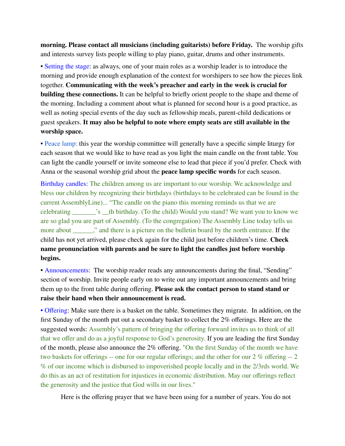**morning. Please contact all musicians (including guitarists) before Friday.** The worship gifts and interests survey lists people willing to play piano, guitar, drums and other instruments.

• Setting the stage: as always, one of your main roles as a worship leader is to introduce the morning and provide enough explanation of the context for worshipers to see how the pieces link together. **Communicating with the week's preacher and early in the week is crucial for building these connections.** It can be helpful to briefly orient people to the shape and theme of the morning. Including a comment about what is planned for second hour is a good practice, as well as noting special events of the day such as fellowship meals, parent-child dedications or guest speakers. **It may also be helpful to note where empty seats are still available in the worship space.**

• Peace lamp: this year the worship committee will generally have a specific simple liturgy for each season that we would like to have read as you light the main candle on the front table. You can light the candle yourself or invite someone else to lead that piece if you'd prefer. Check with Anna or the seasonal worship grid about the **peace lamp specific words** for each season.

Birthday candles: The children among us are important to our worship. We acknowledge and bless our children by recognizing their birthdays (birthdays to be celebrated can be found in the current AssemblyLine)... "The candle on the piano this morning reminds us that we are celebrating \_\_\_\_\_\_\_'s \_\_th birthday. (To the child) Would you stand? We want you to know we are so glad you are part of Assembly. (To the congregation) The Assembly Line today tells us more about  $\therefore$  and there is a picture on the bulletin board by the north entrance. If the child has not yet arrived, please check again for the child just before children's time. **Check name pronunciation with parents and be sure to light the candles just before worship begins.**

• Announcements: The worship reader reads any announcements during the final, "Sending" section of worship. Invite people early on to write out any important announcements and bring them up to the front table during offering. **Please ask the contact person to stand stand or raise their hand when their announcement is read.**

• Offering: Make sure there is a basket on the table. Sometimes they migrate. In addition, on the first Sunday of the month put out a secondary basket to collect the 2% offerings. Here are the suggested words: Assembly's pattern of bringing the offering forward invites us to think of all that we offer and do as a joyful response to God's generosity. If you are leading the first Sunday of the month, please also announce the 2% offering. "On the first Sunday of the month we have two baskets for offerings -- one for our regular offerings; and the other for our 2 % offering -- 2 % of our income which is disbursed to impoverished people locally and in the 2/3rds world. We do this as an act of restitution for injustices in economic distribution. May our offerings reflect the generosity and the justice that God wills in our lives."

Here is the offering prayer that we have been using for a number of years. You do not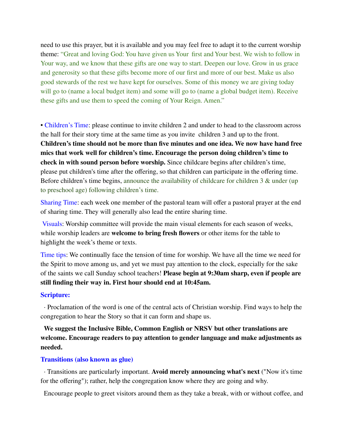need to use this prayer, but it is available and you may feel free to adapt it to the current worship theme: "Great and loving God: You have given us Your first and Your best. We wish to follow in Your way, and we know that these gifts are one way to start. Deepen our love. Grow in us grace and generosity so that these gifts become more of our first and more of our best. Make us also good stewards of the rest we have kept for ourselves. Some of this money we are giving today will go to (name a local budget item) and some will go to (name a global budget item). Receive these gifts and use them to speed the coming of Your Reign. Amen."

• Children's Time: please continue to invite children 2 and under to head to the classroom across the hall for their story time at the same time as you invite children 3 and up to the front. **Children's time should not be more than five minutes and one idea. We now have hand free mics that work well for children's time. Encourage the person doing children's time to check in with sound person before worship.** Since childcare begins after children's time, please put children's time after the offering, so that children can participate in the offering time. Before children's time begins, announce the availability of childcare for children 3 & under (up) to preschool age) following children's time.

Sharing Time: each week one member of the pastoral team will offer a pastoral prayer at the end of sharing time. They will generally also lead the entire sharing time.

Visuals: Worship committee will provide the main visual elements for each season of weeks, while worship leaders are **welcome to bring fresh flowers** or other items for the table to highlight the week's theme or texts.

Time tips: We continually face the tension of time for worship. We have all the time we need for the Spirit to move among us, and yet we must pay attention to the clock, especially for the sake of the saints we call Sunday school teachers! **Please begin at 9:30am sharp, even if people are still finding their way in. First hour should end at 10:45am.**

#### **Scripture:**

· Proclamation of the word is one of the central acts of Christian worship. Find ways to help the congregation to hear the Story so that it can form and shape us.

**We suggest the Inclusive Bible, Common English or NRSV but other translations are welcome. Encourage readers to pay attention to gender language and make adjustments as needed.**

### **Transitions (also known as glue)**

· Transitions are particularly important. **Avoid merely announcing what's next** ("Now it's time for the offering"); rather, help the congregation know where they are going and why.

Encourage people to greet visitors around them as they take a break, with or without coffee, and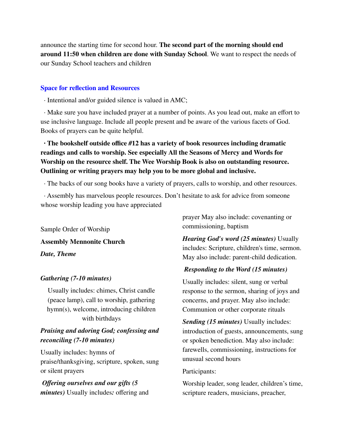announce the starting time for second hour. **The second part of the morning should end around 11:50 when children are done with Sunday School**. We want to respect the needs of our Sunday School teachers and children

### **Space for reflection and Resources**

· Intentional and/or guided silence is valued in AMC;

· Make sure you have included prayer at a number of points. As you lead out, make an effort to use inclusive language. Include all people present and be aware of the various facets of God. Books of prayers can be quite helpful.

# **· The bookshelf outside office #12 has a variety of book resources including dramatic readings and calls to worship. See especially All the Seasons of Mercy and Words for Worship on the resource shelf. The Wee Worship Book is also on outstanding resource. Outlining or writing prayers may help you to be more global and inclusive.**

· The backs of our song books have a variety of prayers, calls to worship, and other resources.

· Assembly has marvelous people resources. Don't hesitate to ask for advice from someone whose worship leading you have appreciated

Sample Order of Worship **Assembly Mennonite Church** *Date, Theme*

## *Gathering (7-10 minutes)*

Usually includes: chimes, Christ candle (peace lamp), call to worship, gathering hymn(s), welcome, introducing children with birthdays

# *Praising and adoring God; confessing and reconciling (7-10 minutes)*

Usually includes: hymns of praise/thanksgiving, scripture, spoken, sung or silent prayers

*Offering ourselves and our gifts (5 minutes)* Usually includes*:* offering and prayer May also include: covenanting or commissioning, baptism

*Hearing God's word (25 minutes)* Usually includes: Scripture, children's time, sermon. May also include: parent-child dedication.

# *Responding to the Word (15 minutes)*

Usually includes: silent, sung or verbal response to the sermon, sharing of joys and concerns, and prayer. May also include: Communion or other corporate rituals

*Sending (15 minutes)* Usually includes: introduction of guests, announcements, sung or spoken benediction. May also include: farewells, commissioning, instructions for unusual second hours

## Participants:

Worship leader, song leader, children's time, scripture readers, musicians, preacher,